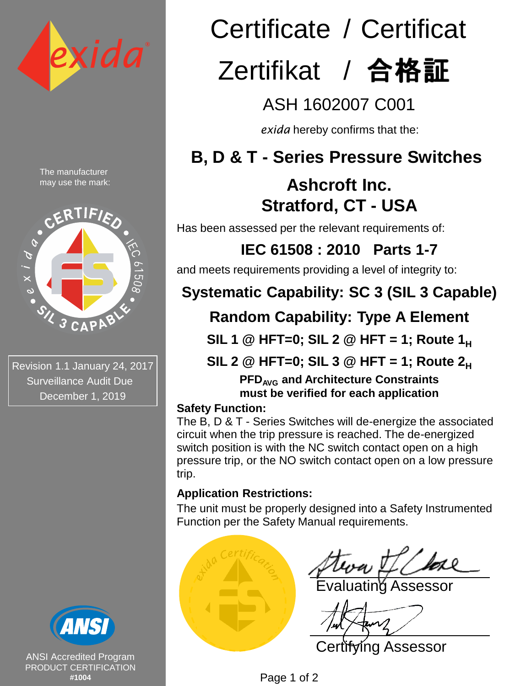

The manufacturer may use the mark:



Revision 1.1 January 24, 2017 Surveillance Audit Due December 1, 2019



ANSI Accredited Program PRODUCT CERTIFICATION **#1004**

# Certificate / Certificat Zertifikat / 合格証

ASH 1602007 C001

*exida* hereby confirms that the:

## **B, D & T - Series Pressure Switches**

## **Ashcroft Inc. Stratford, CT - USA**

Has been assessed per the relevant requirements of:

**IEC 61508 : 2010 Parts 1-7** 

and meets requirements providing a level of integrity to:

## **Systematic Capability: SC 3 (SIL 3 Capable)**

## **Random Capability: Type A Element**

**SIL 1 @ HFT=0; SIL 2 @ HFT = 1; Route 1<sup>H</sup>**

**SIL 2 @ HFT=0; SIL 3 @ HFT = 1; Route 2<sup>H</sup>**

**PFDAVG and Architecture Constraints must be verified for each application**

#### **Safety Function:**

The B, D & T - Series Switches will de-energize the associated circuit when the trip pressure is reached. The de-energized switch position is with the NC switch contact open on a high pressure trip, or the NO switch contact open on a low pressure trip.

#### **Application Restrictions:**

The unit must be properly designed into a Safety Instrumented Function per the Safety Manual requirements.



ating Assessor

Certifying Assessor

Page 1 of 2